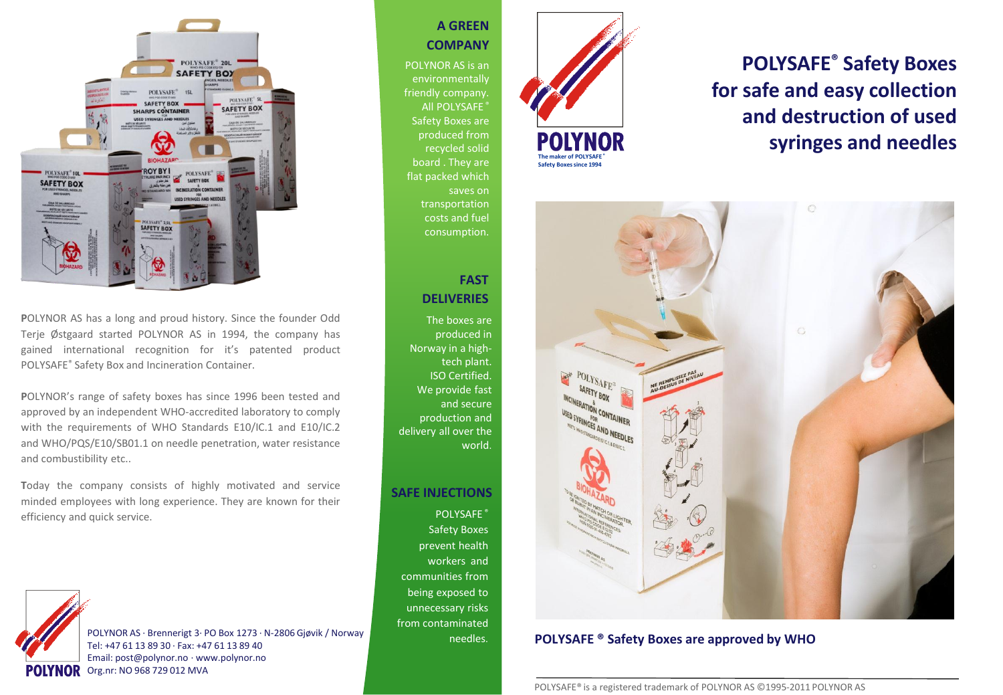

**P**OLYNOR AS has a long and proud history. Since the founder Odd Terje Østgaard started POLYNOR AS in 1994, the company has gained international recognition for it's patented product POLYSAFE® Safety Box and Incineration Container.

**P**OLYNOR's range of safety boxes has since 1996 been tested and approved by an independent WHO-accredited laboratory to comply with the requirements of WHO Standards E10/IC.1 and E10/IC.2 and WHO/PQS/E10/SB01.1 on needle penetration, water resistance and combustibility etc..

**T**oday the company consists of highly motivated and service minded employees with long experience. They are known for their efficiency and quick service.



## **A GREEN COMPANY**

POLYNOR AS is an environmentally friendly company. All POLYSAFE<sup>®</sup> Safety Boxes are produced from recycled solid flat packed which saves on transportation costs and fuel consumption.

# **FAST DELIVERIES**

The boxes are produced in Norway in a hightech plant. ISO Certified. We provide fast and secure production and delivery all over the world.

# **SAFE INJECTIONS**

POLYSAFE ® Safety Boxes prevent health workers and communities from being exposed to unnecessary risks from contaminated needles.



# **POLYSAFE® Safety Boxes for safe and easy collection and destruction of used syringes and needles**



## **POLYSAFE ® Safety Boxes are approved by WHO**

POLYSAFE® is a registered trademark of POLYNOR AS ©1995-2011 POLYNOR AS